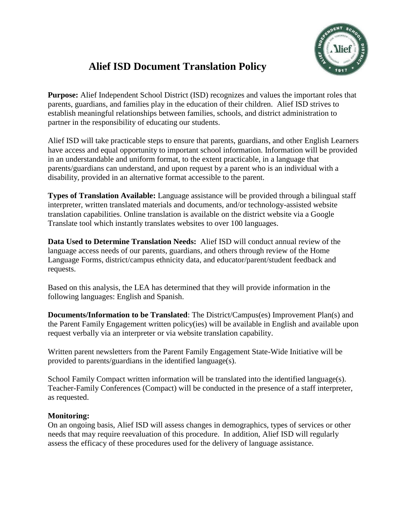

## **Alief ISD Document Translation Policy**

**Purpose:** Alief Independent School District (ISD) recognizes and values the important roles that parents, guardians, and families play in the education of their children. Alief ISD strives to establish meaningful relationships between families, schools, and district administration to partner in the responsibility of educating our students.

Alief ISD will take practicable steps to ensure that parents, guardians, and other English Learners have access and equal opportunity to important school information. Information will be provided in an understandable and uniform format, to the extent practicable, in a language that parents/guardians can understand, and upon request by a parent who is an individual with a disability, provided in an alternative format accessible to the parent.

**Types of Translation Available:** Language assistance will be provided through a bilingual staff interpreter, written translated materials and documents, and/or technology-assisted website translation capabilities. Online translation is available on the district website via a Google Translate tool which instantly translates websites to over 100 languages.

**Data Used to Determine Translation Needs:** Alief ISD will conduct annual review of the language access needs of our parents, guardians, and others through review of the Home Language Forms, district/campus ethnicity data, and educator/parent/student feedback and requests.

Based on this analysis, the LEA has determined that they will provide information in the following languages: English and Spanish.

**Documents/Information to be Translated**: The District/Campus(es) Improvement Plan(s) and the Parent Family Engagement written policy(ies) will be available in English and available upon request verbally via an interpreter or via website translation capability.

Written parent newsletters from the Parent Family Engagement State-Wide Initiative will be provided to parents/guardians in the identified language(s).

School Family Compact written information will be translated into the identified language(s). Teacher-Family Conferences (Compact) will be conducted in the presence of a staff interpreter, as requested.

## **Monitoring:**

On an ongoing basis, Alief ISD will assess changes in demographics, types of services or other needs that may require reevaluation of this procedure. In addition, Alief ISD will regularly assess the efficacy of these procedures used for the delivery of language assistance.